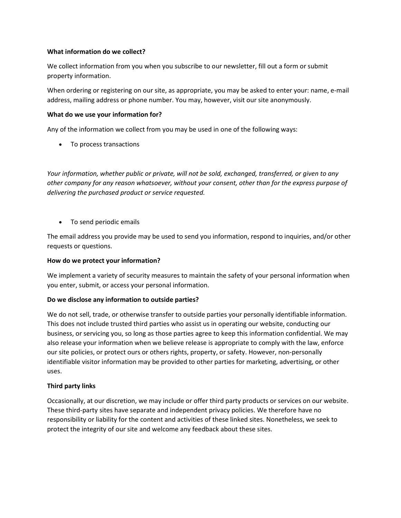### What information do we collect?

We collect information from you when you subscribe to our newsletter, fill out a form or submit property information.

When ordering or registering on our site, as appropriate, you may be asked to enter your: name, e-mail address, mailing address or phone number. You may, however, visit our site anonymously.

#### What do we use your information for?

Any of the information we collect from you may be used in one of the following ways:

• To process transactions

Your information, whether public or private, will not be sold, exchanged, transferred, or given to any other company for any reason whatsoever, without your consent, other than for the express purpose of delivering the purchased product or service requested.

• To send periodic emails

The email address you provide may be used to send you information, respond to inquiries, and/or other requests or questions.

## How do we protect your information?

We implement a variety of security measures to maintain the safety of your personal information when you enter, submit, or access your personal information.

## Do we disclose any information to outside parties?

We do not sell, trade, or otherwise transfer to outside parties your personally identifiable information. This does not include trusted third parties who assist us in operating our website, conducting our business, or servicing you, so long as those parties agree to keep this information confidential. We may also release your information when we believe release is appropriate to comply with the law, enforce our site policies, or protect ours or others rights, property, or safety. However, non-personally identifiable visitor information may be provided to other parties for marketing, advertising, or other uses.

## Third party links

Occasionally, at our discretion, we may include or offer third party products or services on our website. These third-party sites have separate and independent privacy policies. We therefore have no responsibility or liability for the content and activities of these linked sites. Nonetheless, we seek to protect the integrity of our site and welcome any feedback about these sites.